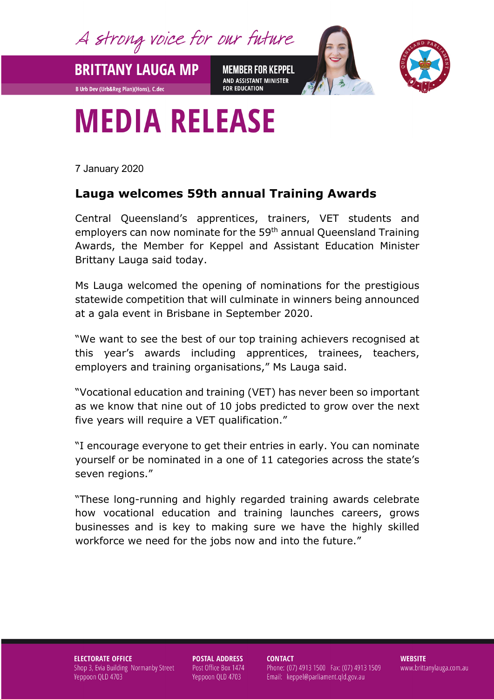A strong voice for our future

**MEMBER FOR KEPPEL** AND ASSISTANT MINISTER **FOR EDUCATION** 



## **MEDIA RELEASE**

7 January 2020

**BRITTANY LAUGA MP** 

**B Urb Dev (Urb&Reg Plan)(Hons), C.dec** 

## **Lauga welcomes 59th annual Training Awards**

Central Queensland's apprentices, trainers, VET students and employers can now nominate for the 59<sup>th</sup> annual Queensland Training Awards, the Member for Keppel and Assistant Education Minister Brittany Lauga said today.

Ms Lauga welcomed the opening of nominations for the prestigious statewide competition that will culminate in winners being announced at a gala event in Brisbane in September 2020.

"We want to see the best of our top training achievers recognised at this year's awards including apprentices, trainees, teachers, employers and training organisations," Ms Lauga said.

"Vocational education and training (VET) has never been so important as we know that nine out of 10 jobs predicted to grow over the next five years will require a VET qualification."

"I encourage everyone to get their entries in early. You can nominate yourself or be nominated in a one of 11 categories across the state's seven regions."

"These long-running and highly regarded training awards celebrate how vocational education and training launches careers, grows businesses and is key to making sure we have the highly skilled workforce we need for the jobs now and into the future."

**ELECTORATE OFFICE** Shop 3, Evia Building Normanby Street Yeppoon QLD 4703

**POSTAL ADDRESS** Post Office Box 1474 Yeppoon QLD 4703

**CONTACT** 

Phone: (07) 4913 1500 Fax: (07) 4913 1509 Email: keppel@parliament.qld.gov.au

**WEBSITE** www.brittanylauga.com.au